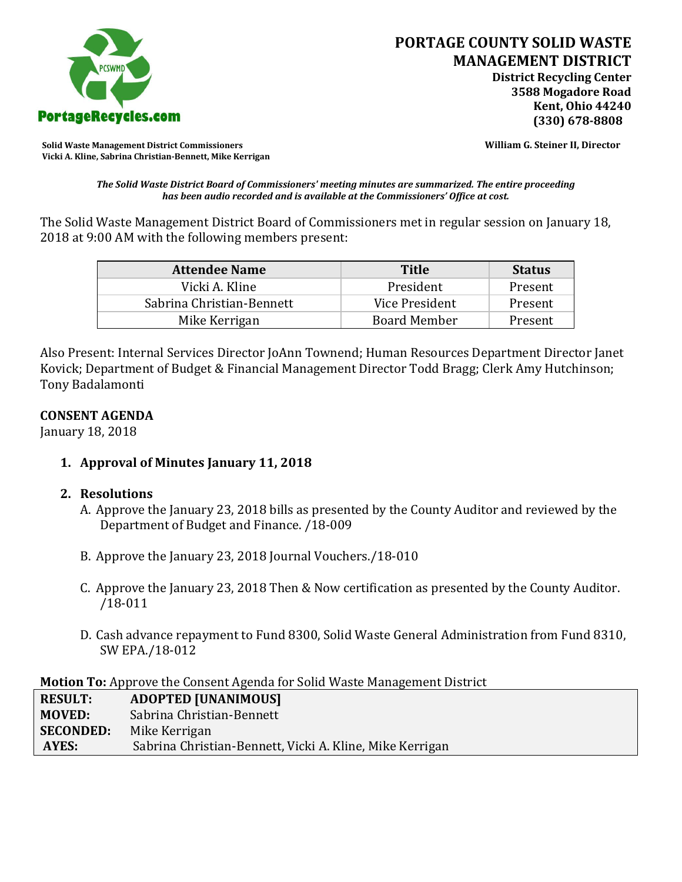

**Solid Waste Management District Commissioners William G. Steiner II, Director Vicki A. Kline, Sabrina Christian-Bennett, Mike Kerrigan** 

*The Solid Waste District Board of Commissioners' meeting minutes are summarized. The entire proceeding has been audio recorded and is available at the Commissioners' Office at cost.*

The Solid Waste Management District Board of Commissioners met in regular session on January 18, 2018 at 9:00 AM with the following members present:

| <b>Attendee Name</b>      | <b>Title</b>        | <b>Status</b> |
|---------------------------|---------------------|---------------|
| Vicki A. Kline            | President           | Present       |
| Sabrina Christian-Bennett | Vice President      | Present       |
| Mike Kerrigan             | <b>Board Member</b> | Present       |

Also Present: Internal Services Director JoAnn Townend; Human Resources Department Director Janet Kovick; Department of Budget & Financial Management Director Todd Bragg; Clerk Amy Hutchinson; Tony Badalamonti

### **CONSENT AGENDA**

January 18, 2018

**1. Approval of Minutes January 11, 2018**

# **2. Resolutions**

- A. Approve the January 23, 2018 bills as presented by the County Auditor and reviewed by the Department of Budget and Finance. /18-009
- B. Approve the January 23, 2018 Journal Vouchers./18-010
- C. Approve the January 23, 2018 Then & Now certification as presented by the County Auditor. /18-011
- D. Cash advance repayment to Fund 8300, Solid Waste General Administration from Fund 8310, SW EPA./18-012

**Motion To:** Approve the Consent Agenda for Solid Waste Management District

| <b>RESULT:</b>   | <b>ADOPTED [UNANIMOUS]</b>                               |
|------------------|----------------------------------------------------------|
| <b>MOVED:</b>    | Sabrina Christian-Bennett                                |
| <b>SECONDED:</b> | Mike Kerrigan                                            |
| AYES:            | Sabrina Christian-Bennett, Vicki A. Kline, Mike Kerrigan |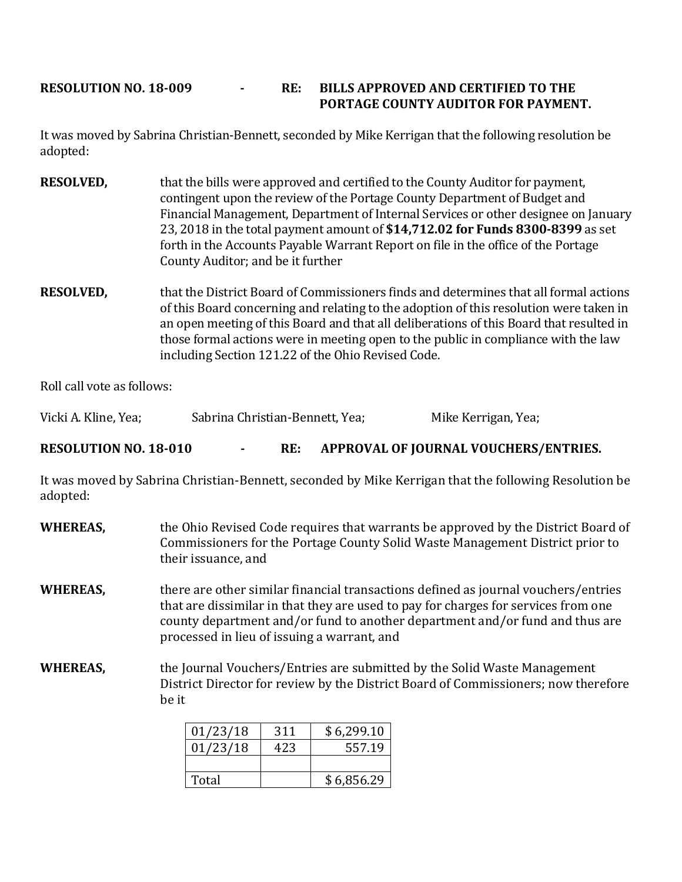# **RESOLUTION NO. 18-009 - RE: BILLS APPROVED AND CERTIFIED TO THE PORTAGE COUNTY AUDITOR FOR PAYMENT.**

It was moved by Sabrina Christian-Bennett, seconded by Mike Kerrigan that the following resolution be adopted:

- **RESOLVED,** that the bills were approved and certified to the County Auditor for payment, contingent upon the review of the Portage County Department of Budget and Financial Management, Department of Internal Services or other designee on January 23, 2018 in the total payment amount of **\$14,712.02 for Funds 8300-8399** as set forth in the Accounts Payable Warrant Report on file in the office of the Portage County Auditor; and be it further
- **RESOLVED,** that the District Board of Commissioners finds and determines that all formal actions of this Board concerning and relating to the adoption of this resolution were taken in an open meeting of this Board and that all deliberations of this Board that resulted in those formal actions were in meeting open to the public in compliance with the law including Section 121.22 of the Ohio Revised Code.

Roll call vote as follows:

Vicki A. Kline, Yea; Sabrina Christian-Bennett, Yea; Mike Kerrigan, Yea;

**RESOLUTION NO. 18-010 - RE: APPROVAL OF JOURNAL VOUCHERS/ENTRIES.**

It was moved by Sabrina Christian-Bennett, seconded by Mike Kerrigan that the following Resolution be adopted:

**WHEREAS,** the Ohio Revised Code requires that warrants be approved by the District Board of Commissioners for the Portage County Solid Waste Management District prior to their issuance, and **WHEREAS,** there are other similar financial transactions defined as journal vouchers/entries that are dissimilar in that they are used to pay for charges for services from one county department and/or fund to another department and/or fund and thus are processed in lieu of issuing a warrant, and **WHEREAS,** the Journal Vouchers/Entries are submitted by the Solid Waste Management District Director for review by the District Board of Commissioners; now therefore be it

| 01/23/18 | 311 | \$6,299.10 |
|----------|-----|------------|
| 01/23/18 | 423 | 557.19     |
|          |     |            |
| Total    |     | \$6,856.29 |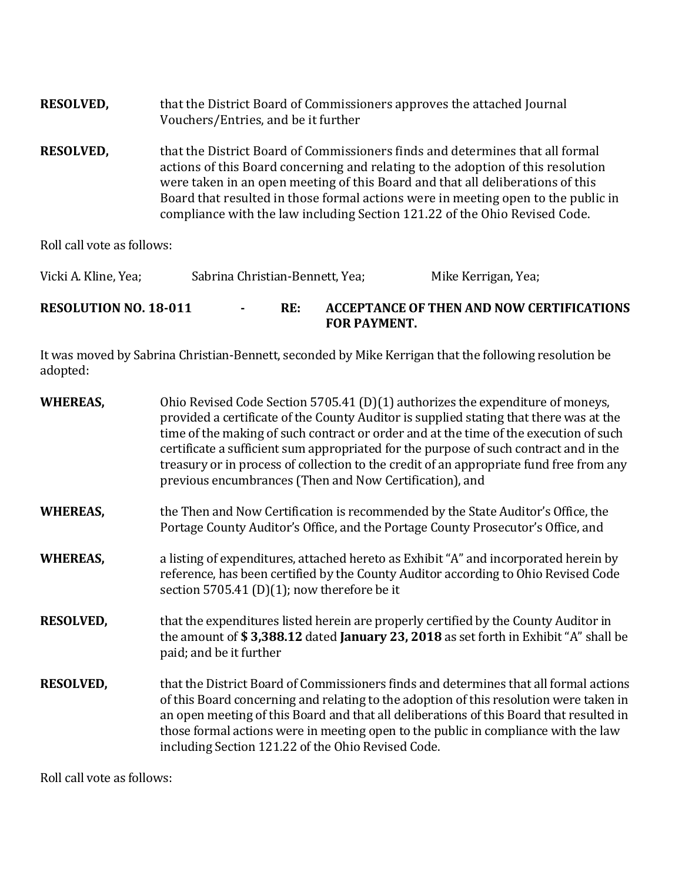| <b>RESOLVED,</b> | that the District Board of Commissioners approves the attached Journal<br>Vouchers/Entries, and be it further                                                                                                                                                                                                                                                                                                          |
|------------------|------------------------------------------------------------------------------------------------------------------------------------------------------------------------------------------------------------------------------------------------------------------------------------------------------------------------------------------------------------------------------------------------------------------------|
| <b>RESOLVED,</b> | that the District Board of Commissioners finds and determines that all formal<br>actions of this Board concerning and relating to the adoption of this resolution<br>were taken in an open meeting of this Board and that all deliberations of this<br>Board that resulted in those formal actions were in meeting open to the public in<br>compliance with the law including Section 121.22 of the Ohio Revised Code. |

Roll call vote as follows:

| Vicki A. Kline, Yea;         | Sabrina Christian-Bennett, Yea; |     | Mike Kerrigan, Yea;                                              |
|------------------------------|---------------------------------|-----|------------------------------------------------------------------|
| <b>RESOLUTION NO. 18-011</b> | $\sim$                          | RE: | ACCEPTANCE OF THEN AND NOW CERTIFICATIONS<br><b>FOR PAYMENT.</b> |

It was moved by Sabrina Christian-Bennett, seconded by Mike Kerrigan that the following resolution be adopted:

| <b>WHEREAS,</b>  | Ohio Revised Code Section 5705.41 (D)(1) authorizes the expenditure of moneys,<br>provided a certificate of the County Auditor is supplied stating that there was at the<br>time of the making of such contract or order and at the time of the execution of such<br>certificate a sufficient sum appropriated for the purpose of such contract and in the<br>treasury or in process of collection to the credit of an appropriate fund free from any<br>previous encumbrances (Then and Now Certification), and |
|------------------|------------------------------------------------------------------------------------------------------------------------------------------------------------------------------------------------------------------------------------------------------------------------------------------------------------------------------------------------------------------------------------------------------------------------------------------------------------------------------------------------------------------|
| <b>WHEREAS,</b>  | the Then and Now Certification is recommended by the State Auditor's Office, the<br>Portage County Auditor's Office, and the Portage County Prosecutor's Office, and                                                                                                                                                                                                                                                                                                                                             |
| <b>WHEREAS,</b>  | a listing of expenditures, attached hereto as Exhibit "A" and incorporated herein by<br>reference, has been certified by the County Auditor according to Ohio Revised Code<br>section 5705.41 (D)(1); now therefore be it                                                                                                                                                                                                                                                                                        |
| <b>RESOLVED,</b> | that the expenditures listed herein are properly certified by the County Auditor in<br>the amount of \$3,388.12 dated January 23, 2018 as set forth in Exhibit "A" shall be<br>paid; and be it further                                                                                                                                                                                                                                                                                                           |
| <b>RESOLVED,</b> | that the District Board of Commissioners finds and determines that all formal actions<br>of this Board concerning and relating to the adoption of this resolution were taken in<br>an open meeting of this Board and that all deliberations of this Board that resulted in<br>those formal actions were in meeting open to the public in compliance with the law<br>including Section 121.22 of the Ohio Revised Code.                                                                                           |

Roll call vote as follows: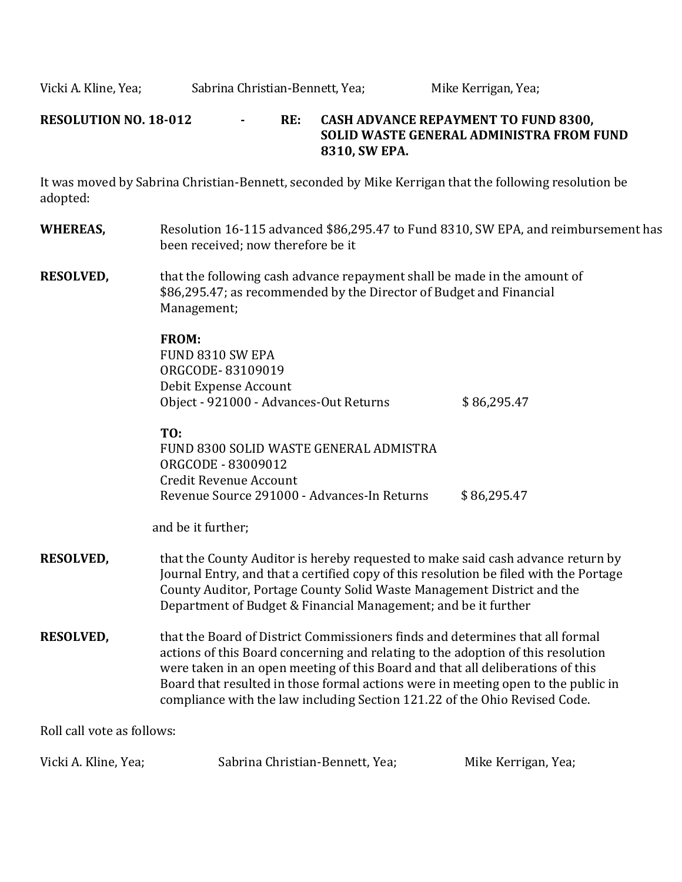Vicki A. Kline, Yea; Sabrina Christian-Bennett, Yea; Mike Kerrigan, Yea;

### **RESOLUTION NO. 18-012 - RE: CASH ADVANCE REPAYMENT TO FUND 8300, SOLID WASTE GENERAL ADMINISTRA FROM FUND 8310, SW EPA.**

It was moved by Sabrina Christian-Bennett, seconded by Mike Kerrigan that the following resolution be adopted:

- **WHEREAS,** Resolution 16-115 advanced \$86,295.47 to Fund 8310, SW EPA, and reimbursement has been received; now therefore be it
- **RESOLVED,** that the following cash advance repayment shall be made in the amount of \$86,295.47; as recommended by the Director of Budget and Financial Management;

#### **FROM:**

FUND 8310 SW EPA ORGCODE- 83109019 Debit Expense Account Object - 921000 - Advances-Out Returns  $$86,295.47$ 

## **TO:**

FUND 8300 SOLID WASTE GENERAL ADMISTRA ORGCODE - 83009012 Credit Revenue Account Revenue Source 291000 - Advances-In Returns \$86,295.47

and be it further;

- **RESOLVED,** that the County Auditor is hereby requested to make said cash advance return by Journal Entry, and that a certified copy of this resolution be filed with the Portage County Auditor, Portage County Solid Waste Management District and the Department of Budget & Financial Management; and be it further
- **RESOLVED,** that the Board of District Commissioners finds and determines that all formal actions of this Board concerning and relating to the adoption of this resolution were taken in an open meeting of this Board and that all deliberations of this Board that resulted in those formal actions were in meeting open to the public in compliance with the law including Section 121.22 of the Ohio Revised Code.

Roll call vote as follows:

| Vicki A. Kline, Yea; | Sabrina Christian-Bennett, Yea; | Mike Kerrigan, Yea; |
|----------------------|---------------------------------|---------------------|
|                      |                                 |                     |